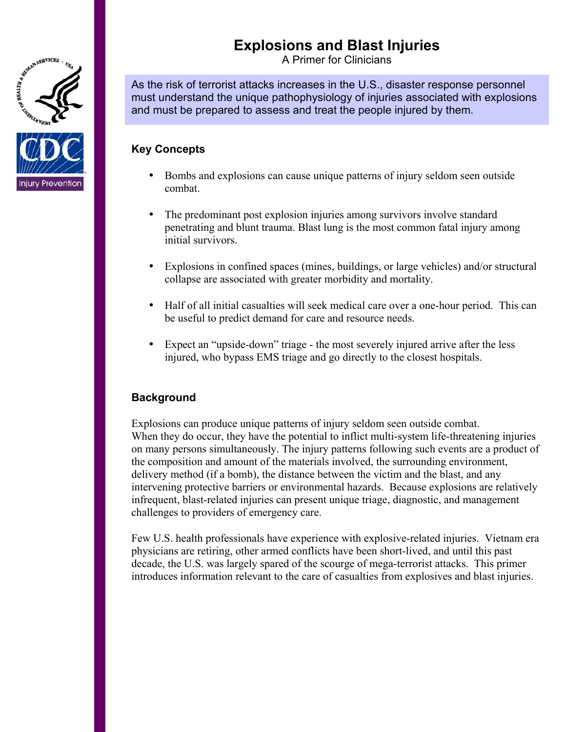# **Explosions and Blast Injuries**

A Primer for Clinicians

As the risk of terrorist attacks increases in the U.S., disaster response personnel must understand the unique pathophysiology of injuries associated with explosions and must be prepared to assess and treat the people injured by them.

## **Key Concepts**

AND A SERVICES

njury Prevention

- Bombs and explosions can cause unique patterns of injury seldom seen outside combat.
- The predominant post explosion injuries among survivors involve standard penetrating and blunt trauma. Blast lung is the most common fatal injury among initial survivors.
- Explosions in confined spaces (mines, buildings, or large vehicles) and/or structural collapse are associated with greater morbidity and mortality.
- Half of all initial casualties will seek medical care over a one-hour period. This can be useful to predict demand for care and resource needs.
- Expect an "upside-down" triage the most severely injured arrive after the less injured, who bypass EMS triage and go directly to the closest hospitals.

### **Background**

Explosions can produce unique patterns of injury seldom seen outside combat. When they do occur, they have the potential to inflict multi-system life-threatening injuries on many persons simultaneously. The injury patterns following such events are a product of the composition and amount of the materials involved, the surrounding environment, delivery method (if a bomb), the distance between the victim and the blast, and any intervening protective barriers or environmental hazards. Because explosions are relatively infrequent, blast-related injuries can present unique triage, diagnostic, and management challenges to providers of emergency care.

Few U.S. health professionals have experience with explosive-related injuries. Vietnam era physicians are retiring, other armed conflicts have been short-lived, and until this past decade, the U.S. was largely spared of the scourge of mega-terrorist attacks. This primer introduces information relevant to the care of casualties from explosives and blast injuries.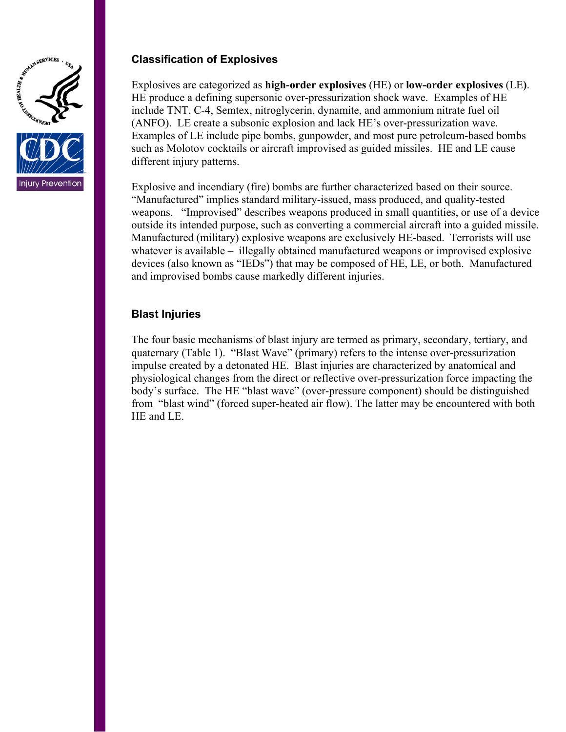



# **Classification of Explosives**

Explosives are categorized as **high-order explosives** (HE) or **low-order explosives** (LE**)**. HE produce a defining supersonic over-pressurization shock wave. Examples of HE include TNT, C-4, Semtex, nitroglycerin, dynamite, and ammonium nitrate fuel oil (ANFO). LE create a subsonic explosion and lack HE's over-pressurization wave. Examples of LE include pipe bombs, gunpowder, and most pure petroleum-based bombs such as Molotov cocktails or aircraft improvised as guided missiles. HE and LE cause different injury patterns.

Explosive and incendiary (fire) bombs are further characterized based on their source. "Manufactured" implies standard military-issued, mass produced, and quality-tested weapons. "Improvised" describes weapons produced in small quantities, or use of a device outside its intended purpose, such as converting a commercial aircraft into a guided missile. Manufactured (military) explosive weapons are exclusively HE-based. Terrorists will use whatever is available – illegally obtained manufactured weapons or improvised explosive devices (also known as "IEDs") that may be composed of HE, LE, or both. Manufactured and improvised bombs cause markedly different injuries.

### **Blast Injuries**

The four basic mechanisms of blast injury are termed as primary, secondary, tertiary, and quaternary (Table 1). "Blast Wave" (primary) refers to the intense over-pressurization impulse created by a detonated HE. Blast injuries are characterized by anatomical and physiological changes from the direct or reflective over-pressurization force impacting the body's surface. The HE "blast wave" (over-pressure component) should be distinguished from "blast wind" (forced super-heated air flow). The latter may be encountered with both HE and LE.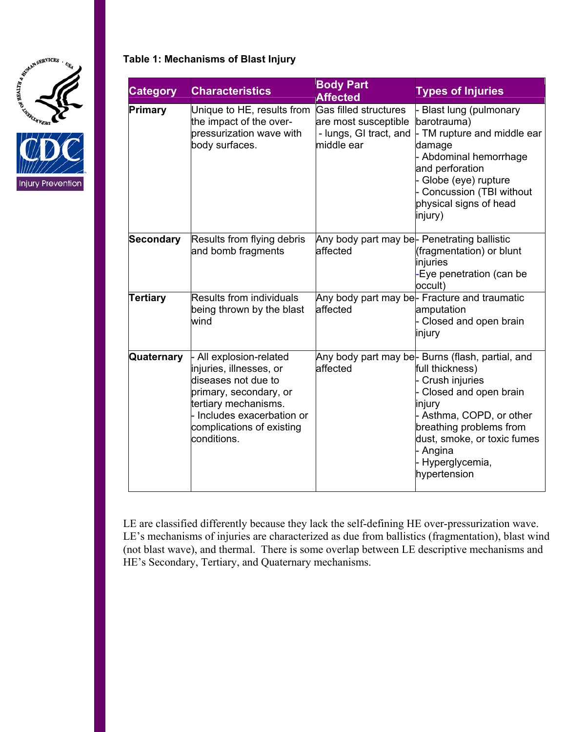



### **Table 1: Mechanisms of Blast Injury**

| <b>Category</b>  | <b>Characteristics</b>                                                                                                                                                                            | <b>Body Part</b><br><b>Affected</b>                                                   | <b>Types of Injuries</b>                                                                                                                                                                                                                                       |
|------------------|---------------------------------------------------------------------------------------------------------------------------------------------------------------------------------------------------|---------------------------------------------------------------------------------------|----------------------------------------------------------------------------------------------------------------------------------------------------------------------------------------------------------------------------------------------------------------|
| Primary          | Unique to HE, results from<br>the impact of the over-<br>pressurization wave with<br>body surfaces.                                                                                               | Gas filled structures<br>are most susceptible<br>- lungs, GI tract, and<br>middle ear | Blast lung (pulmonary<br>barotrauma)<br>- TM rupture and middle ear<br>damage<br>- Abdominal hemorrhage<br>and perforation<br>Globe (eye) rupture<br>Concussion (TBI without<br>physical signs of head<br>injury)                                              |
| <b>Secondary</b> | Results from flying debris<br>and bomb fragments                                                                                                                                                  | Any body part may be- Penetrating ballistic<br>affected                               | (fragmentation) or blunt<br>injuries<br>Eye penetration (can be<br>occult)                                                                                                                                                                                     |
| <b>Tertiary</b>  | <b>Results from individuals</b><br>being thrown by the blast<br>wind                                                                                                                              | affected                                                                              | Any body part may be- Fracture and traumatic<br>amputation<br>Closed and open brain<br>injury                                                                                                                                                                  |
| Quaternary       | All explosion-related<br>injuries, illnesses, or<br>diseases not due to<br>primary, secondary, or<br>tertiary mechanisms.<br>Includes exacerbation or<br>complications of existing<br>conditions. | affected                                                                              | Any body part may be- Burns (flash, partial, and<br>full thickness)<br>Crush injuries<br>Closed and open brain<br>injury<br>- Asthma, COPD, or other<br>breathing problems from<br>dust, smoke, or toxic fumes<br>- Angina<br>- Hyperglycemia,<br>hypertension |

LE are classified differently because they lack the self-defining HE over-pressurization wave. LE's mechanisms of injuries are characterized as due from ballistics (fragmentation), blast wind (not blast wave), and thermal. There is some overlap between LE descriptive mechanisms and HE's Secondary, Tertiary, and Quaternary mechanisms.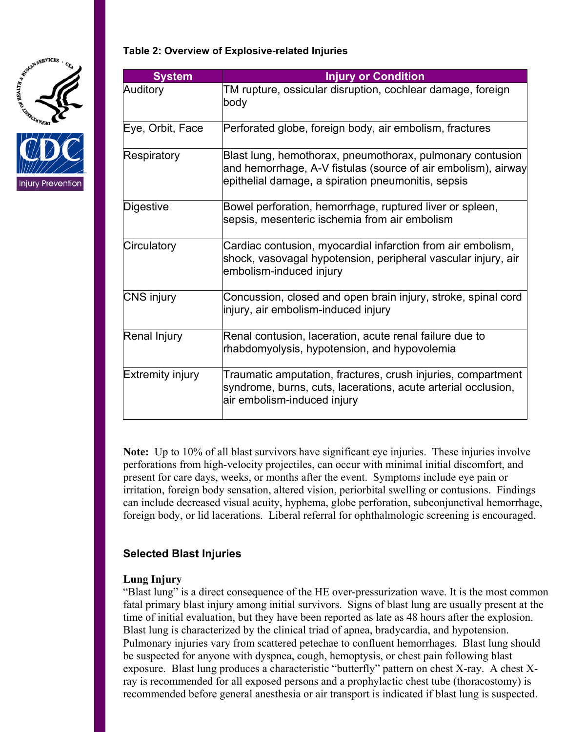



### **Table 2: Overview of Explosive-related Injuries**

| <b>System</b>    | <b>Injury or Condition</b>                                                                                                                                                       |
|------------------|----------------------------------------------------------------------------------------------------------------------------------------------------------------------------------|
| Auditory         | TM rupture, ossicular disruption, cochlear damage, foreign<br>body                                                                                                               |
| Eye, Orbit, Face | Perforated globe, foreign body, air embolism, fractures                                                                                                                          |
| Respiratory      | Blast lung, hemothorax, pneumothorax, pulmonary contusion<br>and hemorrhage, A-V fistulas (source of air embolism), airway<br>epithelial damage, a spiration pneumonitis, sepsis |
| Digestive        | Bowel perforation, hemorrhage, ruptured liver or spleen,<br>sepsis, mesenteric ischemia from air embolism                                                                        |
| Circulatory      | Cardiac contusion, myocardial infarction from air embolism,<br>shock, vasovagal hypotension, peripheral vascular injury, air<br>embolism-induced injury                          |
| CNS injury       | Concussion, closed and open brain injury, stroke, spinal cord<br>injury, air embolism-induced injury                                                                             |
| Renal Injury     | Renal contusion, laceration, acute renal failure due to<br>rhabdomyolysis, hypotension, and hypovolemia                                                                          |
| Extremity injury | Traumatic amputation, fractures, crush injuries, compartment<br>syndrome, burns, cuts, lacerations, acute arterial occlusion,<br>air embolism-induced injury                     |

**Note:** Up to 10% of all blast survivors have significant eye injuries. These injuries involve perforations from high-velocity projectiles, can occur with minimal initial discomfort, and present for care days, weeks, or months after the event. Symptoms include eye pain or irritation, foreign body sensation, altered vision, periorbital swelling or contusions. Findings can include decreased visual acuity, hyphema, globe perforation, subconjunctival hemorrhage, foreign body, or lid lacerations. Liberal referral for ophthalmologic screening is encouraged.

### **Selected Blast Injuries**

#### **Lung Injury**

"Blast lung" is a direct consequence of the HE over-pressurization wave. It is the most common fatal primary blast injury among initial survivors. Signs of blast lung are usually present at the time of initial evaluation, but they have been reported as late as 48 hours after the explosion. Blast lung is characterized by the clinical triad of apnea, bradycardia, and hypotension. Pulmonary injuries vary from scattered petechae to confluent hemorrhages. Blast lung should be suspected for anyone with dyspnea, cough, hemoptysis, or chest pain following blast exposure. Blast lung produces a characteristic "butterfly" pattern on chest X-ray. A chest Xray is recommended for all exposed persons and a prophylactic chest tube (thoracostomy) is recommended before general anesthesia or air transport is indicated if blast lung is suspected.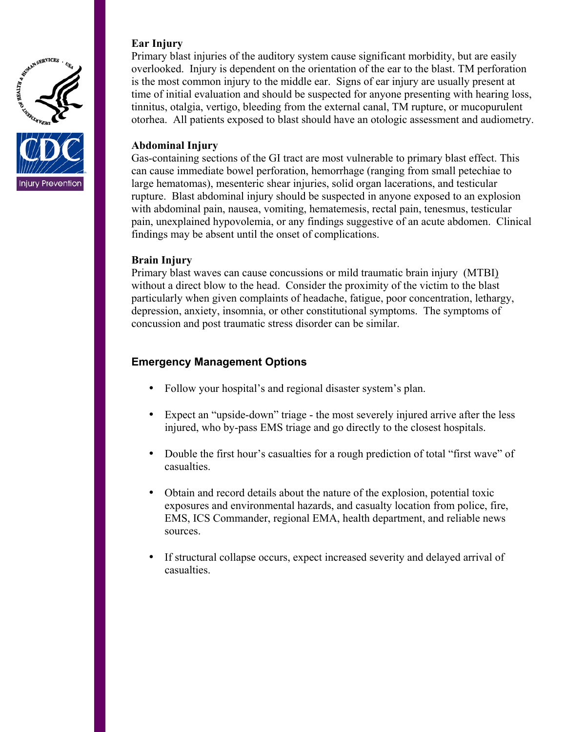



## **Ear Injury**

Primary blast injuries of the auditory system cause significant morbidity, but are easily overlooked. Injury is dependent on the orientation of the ear to the blast. TM perforation is the most common injury to the middle ear. Signs of ear injury are usually present at time of initial evaluation and should be suspected for anyone presenting with hearing loss, tinnitus, otalgia, vertigo, bleeding from the external canal, TM rupture, or mucopurulent otorhea. All patients exposed to blast should have an otologic assessment and audiometry.

### **Abdominal Injury**

Gas-containing sections of the GI tract are most vulnerable to primary blast effect. This can cause immediate bowel perforation, hemorrhage (ranging from small petechiae to large hematomas), mesenteric shear injuries, solid organ lacerations, and testicular rupture. Blast abdominal injury should be suspected in anyone exposed to an explosion with abdominal pain, nausea, vomiting, hematemesis, rectal pain, tenesmus, testicular pain, unexplained hypovolemia, or any findings suggestive of an acute abdomen. Clinical findings may be absent until the onset of complications.

### **Brain Injury**

Primary blast waves can cause concussions or mild traumatic brain injury (MTBI) without a direct blow to the head. Consider the proximity of the victim to the blast particularly when given complaints of headache, fatigue, poor concentration, lethargy, depression, anxiety, insomnia, or other constitutional symptoms. The symptoms of concussion and post traumatic stress disorder can be similar.

# **Emergency Management Options**

- Follow your hospital's and regional disaster system's plan.
- Expect an "upside-down" triage the most severely injured arrive after the less injured, who by-pass EMS triage and go directly to the closest hospitals.
- Double the first hour's casualties for a rough prediction of total "first wave" of casualties.
- Obtain and record details about the nature of the explosion, potential toxic exposures and environmental hazards, and casualty location from police, fire, EMS, ICS Commander, regional EMA, health department, and reliable news sources.
- If structural collapse occurs, expect increased severity and delayed arrival of casualties.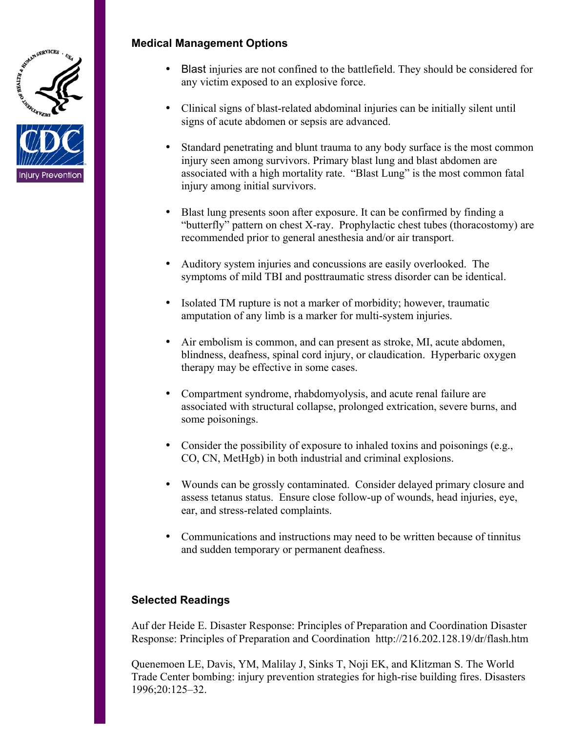

ijury Prevention

### **Medical Management Options**

- Blast injuries are not confined to the battlefield. They should be considered for any victim exposed to an explosive force.
- Clinical signs of blast-related abdominal injuries can be initially silent until signs of acute abdomen or sepsis are advanced.
- Standard penetrating and blunt trauma to any body surface is the most common injury seen among survivors. Primary blast lung and blast abdomen are associated with a high mortality rate. "Blast Lung" is the most common fatal injury among initial survivors.
- Blast lung presents soon after exposure. It can be confirmed by finding a "butterfly" pattern on chest X-ray. Prophylactic chest tubes (thoracostomy) are recommended prior to general anesthesia and/or air transport.
- Auditory system injuries and concussions are easily overlooked. The symptoms of mild TBI and posttraumatic stress disorder can be identical.
- Isolated TM rupture is not a marker of morbidity; however, traumatic amputation of any limb is a marker for multi-system injuries.
- Air embolism is common, and can present as stroke, MI, acute abdomen, blindness, deafness, spinal cord injury, or claudication. Hyperbaric oxygen therapy may be effective in some cases.
- Compartment syndrome, rhabdomyolysis, and acute renal failure are associated with structural collapse, prolonged extrication, severe burns, and some poisonings.
- Consider the possibility of exposure to inhaled toxins and poisonings  $(e.g.,)$ CO, CN, MetHgb) in both industrial and criminal explosions.
- Wounds can be grossly contaminated. Consider delayed primary closure and assess tetanus status. Ensure close follow-up of wounds, head injuries, eye, ear, and stress-related complaints.
- Communications and instructions may need to be written because of tinnitus and sudden temporary or permanent deafness.

# **Selected Readings**

Auf der Heide E. Disaster Response: Principles of Preparation and Coordination Disaster Response: Principles of Preparation and Coordination http://216.202.128.19/dr/flash.htm

Quenemoen LE, Davis, YM, Malilay J, Sinks T, Noji EK, and Klitzman S. The World Trade Center bombing: injury prevention strategies for high-rise building fires. Disasters 1996;20:125–32.